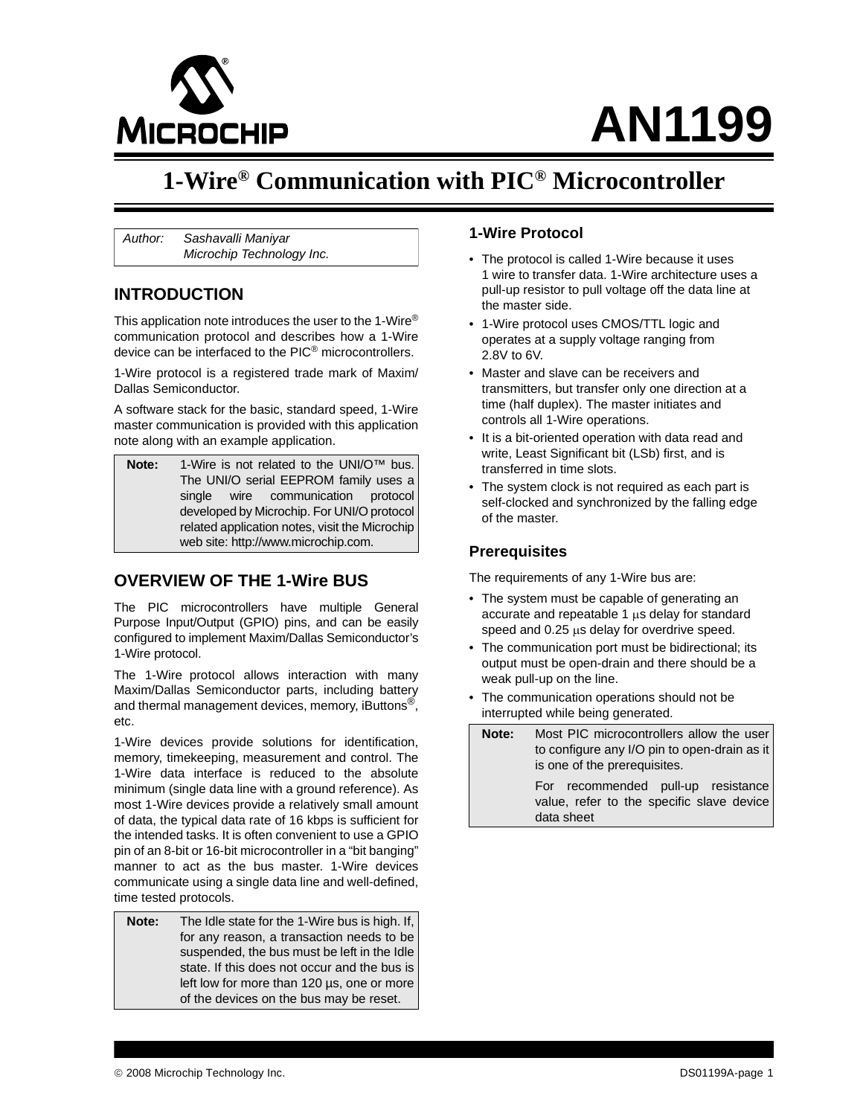

### **1-Wire® Communication with PIC® Microcontroller**

*Author: Sashavalli Maniyar Microchip Technology Inc.*

#### **INTRODUCTION**

This application note introduces the user to the 1-Wire® communication protocol and describes how a 1-Wire device can be interfaced to the PIC® microcontrollers.

1-Wire protocol is a registered trade mark of Maxim/ Dallas Semiconductor.

A software stack for the basic, standard speed, 1-Wire [master communication is provided with this application](http://www.microchip.com) [note along with an example application.](http://www.microchip.com)

**Note:** 1-Wire is not related to the UNI/O™ bus. The UNI/O serial EEPROM family uses a single wire communication protocol developed by Microchip. For UNI/O protocol related application notes, visit the Microchip web site: [http://www.microchip.com.](http://www.microchip.com)

#### **OVERVIEW OF THE 1-Wire BUS**

The PIC microcontrollers have multiple General Purpose Input/Output (GPIO) pins, and can be easily configured to implement Maxim/Dallas Semiconductor's 1-Wire protocol.

The 1-Wire protocol allows interaction with many Maxim/Dallas Semiconductor parts, including battery and thermal management devices, memory, iButtons<sup>®</sup>, etc.

1-Wire devices provide solutions for identification, memory, timekeeping, measurement and control. The 1-Wire data interface is reduced to the absolute minimum (single data line with a ground reference). As most 1-Wire devices provide a relatively small amount of data, the typical data rate of 16 kbps is sufficient for the intended tasks. It is often convenient to use a GPIO pin of an 8-bit or 16-bit microcontroller in a "bit banging" manner to act as the bus master. 1-Wire devices communicate using a single data line and well-defined, time tested protocols.

| Note: | The Idle state for the 1-Wire bus is high. If, |
|-------|------------------------------------------------|
|       | for any reason, a transaction needs to be      |
|       | suspended, the bus must be left in the Idle    |
|       | state. If this does not occur and the bus is   |
|       | left low for more than 120 us, one or more     |
|       | of the devices on the bus may be reset.        |

#### **1-Wire Protocol**

- The protocol is called 1-Wire because it uses 1 wire to transfer data. 1-Wire architecture uses a pull-up resistor to pull voltage off the data line at the master side.
- 1-Wire protocol uses CMOS/TTL logic and operates at a supply voltage ranging from 2.8V to 6V.
- Master and slave can be receivers and transmitters, but transfer only one direction at a time (half duplex). The master initiates and controls all 1-Wire operations.
- It is a bit-oriented operation with data read and write, Least Significant bit (LSb) first, and is transferred in time slots.
- The system clock is not required as each part is self-clocked and synchronized by the falling edge of the master.

#### **Prerequisites**

The requirements of any 1-Wire bus are:

- The system must be capable of generating an accurate and repeatable 1 μs delay for standard speed and 0.25 μs delay for overdrive speed.
- The communication port must be bidirectional; its output must be open-drain and there should be a weak pull-up on the line.
- The communication operations should not be interrupted while being generated.

| Note: | Most PIC microcontrollers allow the user<br>to configure any I/O pin to open-drain as it<br>is one of the prerequisites. |  |
|-------|--------------------------------------------------------------------------------------------------------------------------|--|
|       | For recommended pull-up resistance<br>value, refer to the specific slave device<br>data sheet                            |  |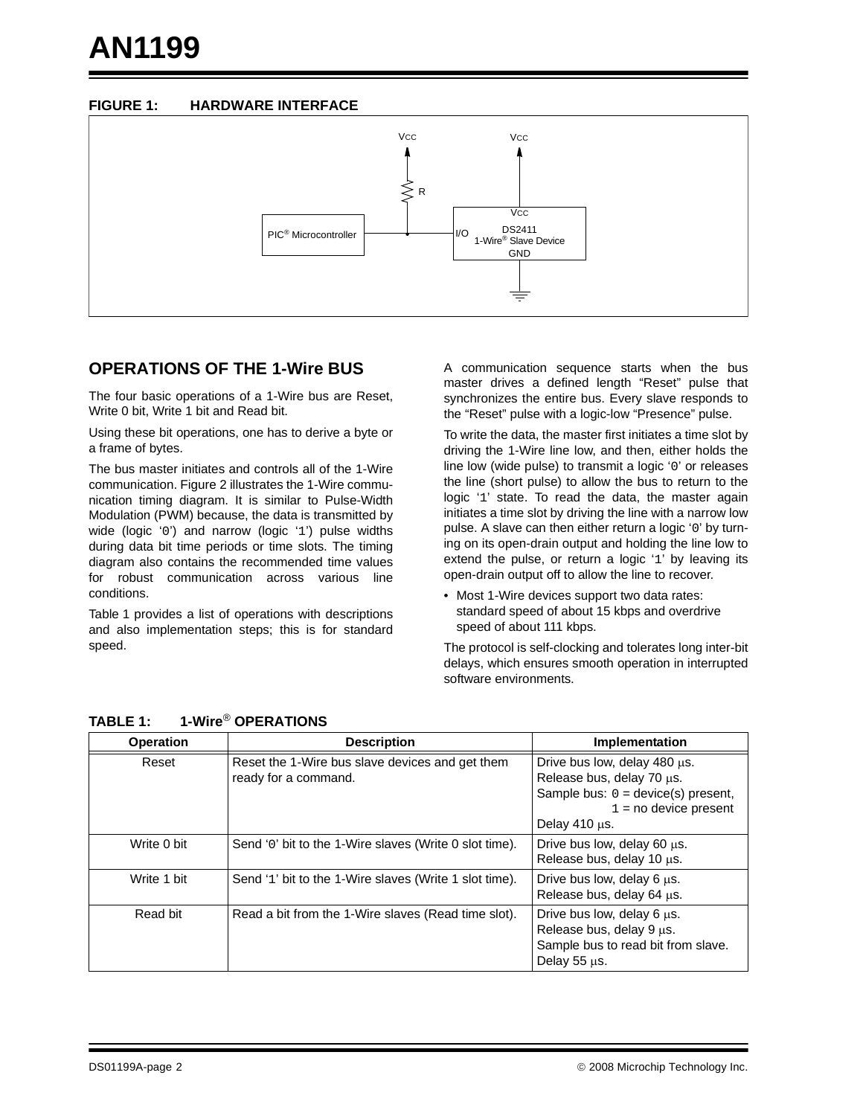#### **FIGURE 1: HARDWARE INTERFACE**



#### **OPERATIONS OF THE 1-Wire BUS**

The four basic operations of a 1-Wire bus are Reset, Write 0 bit, Write 1 bit and Read bit.

Using these bit operations, one has to derive a byte or a frame of bytes.

The bus master initiates and controls all of the 1-Wire communication. [Figure 2](#page-2-0) illustrates the 1-Wire communication timing diagram. It is similar to Pulse-Width Modulation (PWM) because, the data is transmitted by wide (logic '0') and narrow (logic '1') pulse widths during data bit time periods or time slots. The timing diagram also contains the recommended time values for robust communication across various line conditions.

[Table 1](#page-1-0) provides a list of operations with descriptions and also implementation steps; this is for standard speed.

A communication sequence starts when the bus master drives a defined length "Reset" pulse that synchronizes the entire bus. Every slave responds to the "Reset" pulse with a logic-low "Presence" pulse.

To write the data, the master first initiates a time slot by driving the 1-Wire line low, and then, either holds the line low (wide pulse) to transmit a logic '0' or releases the line (short pulse) to allow the bus to return to the logic '1' state. To read the data, the master again initiates a time slot by driving the line with a narrow low pulse. A slave can then either return a logic '0' by turning on its open-drain output and holding the line low to extend the pulse, or return a logic '1' by leaving its open-drain output off to allow the line to recover.

• Most 1-Wire devices support two data rates: standard speed of about 15 kbps and overdrive speed of about 111 kbps.

The protocol is self-clocking and tolerates long inter-bit delays, which ensures smooth operation in interrupted software environments.

| <b>Operation</b> | <b>Description</b>                                                      | Implementation                                                                                                                                |
|------------------|-------------------------------------------------------------------------|-----------------------------------------------------------------------------------------------------------------------------------------------|
| Reset            | Reset the 1-Wire bus slave devices and get them<br>ready for a command. | Drive bus low, delay 480 us.<br>Release bus, delay 70 µs.<br>Sample bus: $0 =$ device(s) present,<br>$1 = no$ device present<br>Delay 410 us. |
| Write 0 bit      | Send '0' bit to the 1-Wire slaves (Write 0 slot time).                  | Drive bus low, delay 60 µs.<br>Release bus, delay 10 us.                                                                                      |
| Write 1 bit      | Send '1' bit to the 1-Wire slaves (Write 1 slot time).                  | Drive bus low, delay 6 µs.<br>Release bus, delay 64 us.                                                                                       |
| Read bit         | Read a bit from the 1-Wire slaves (Read time slot).                     | Drive bus low, delay 6 us.<br>Release bus, delay 9 µs.<br>Sample bus to read bit from slave.<br>Delay $55 \mu s$ .                            |

<span id="page-1-0"></span>**TABLE 1: 1-Wire**® **OPERATIONS**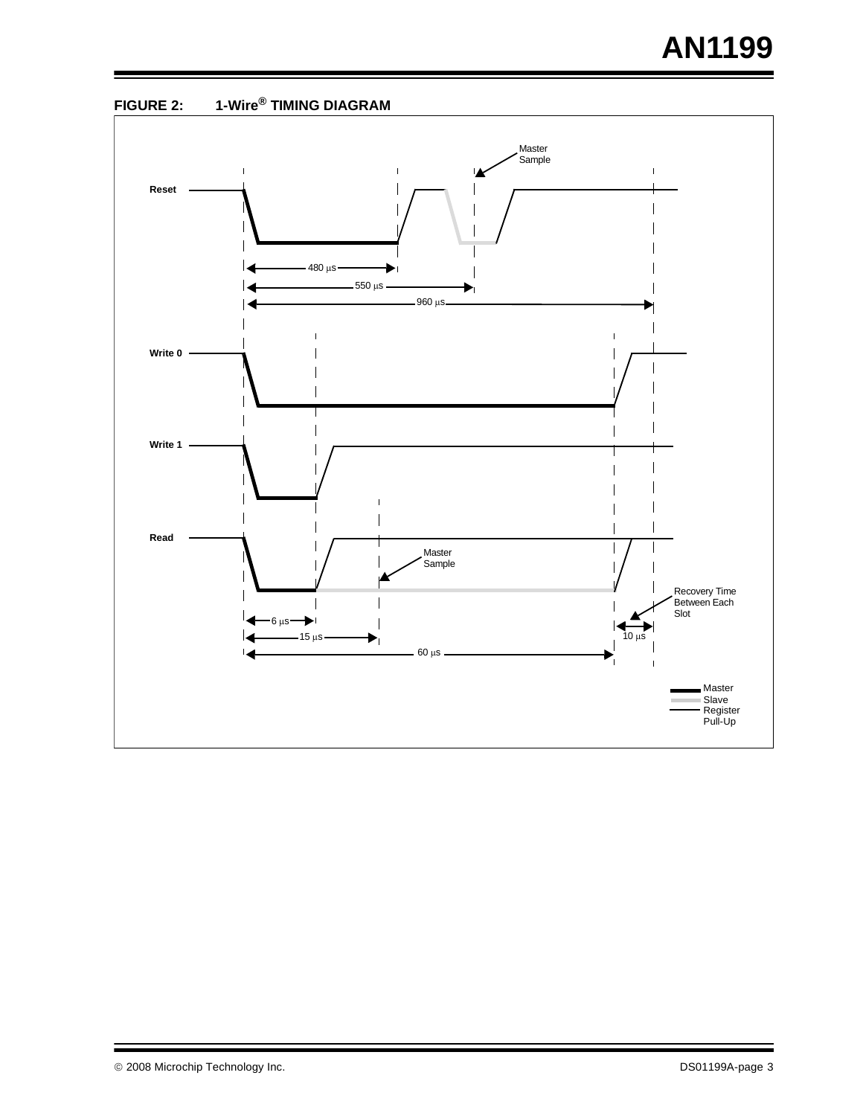

<span id="page-2-0"></span>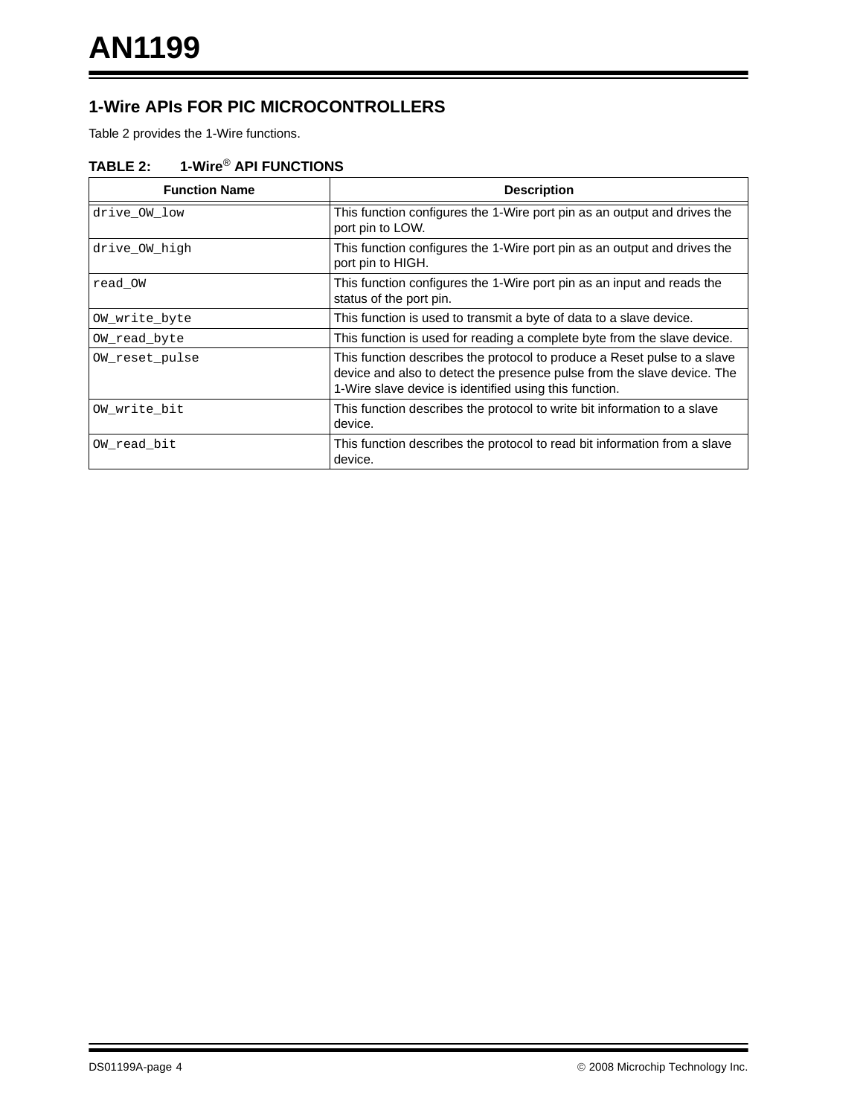#### **1-Wire APIs FOR PIC MICROCONTROLLERS**

[Table 2](#page-3-0) provides the 1-Wire functions.

#### <span id="page-3-0"></span>**TABLE 2: 1-Wire**® **API FUNCTIONS**

| <b>Function Name</b> | <b>Description</b>                                                                                                                                                                                            |
|----------------------|---------------------------------------------------------------------------------------------------------------------------------------------------------------------------------------------------------------|
| drive OW low         | This function configures the 1-Wire port pin as an output and drives the<br>port pin to LOW.                                                                                                                  |
| drive OW high        | This function configures the 1-Wire port pin as an output and drives the<br>port pin to HIGH.                                                                                                                 |
| read OW              | This function configures the 1-Wire port pin as an input and reads the<br>status of the port pin.                                                                                                             |
| OW_write_byte        | This function is used to transmit a byte of data to a slave device.                                                                                                                                           |
| OW read byte         | This function is used for reading a complete byte from the slave device.                                                                                                                                      |
| OW reset pulse       | This function describes the protocol to produce a Reset pulse to a slave<br>device and also to detect the presence pulse from the slave device. The<br>1-Wire slave device is identified using this function. |
| OW write bit         | This function describes the protocol to write bit information to a slave<br>device.                                                                                                                           |
| OW read bit          | This function describes the protocol to read bit information from a slave<br>device.                                                                                                                          |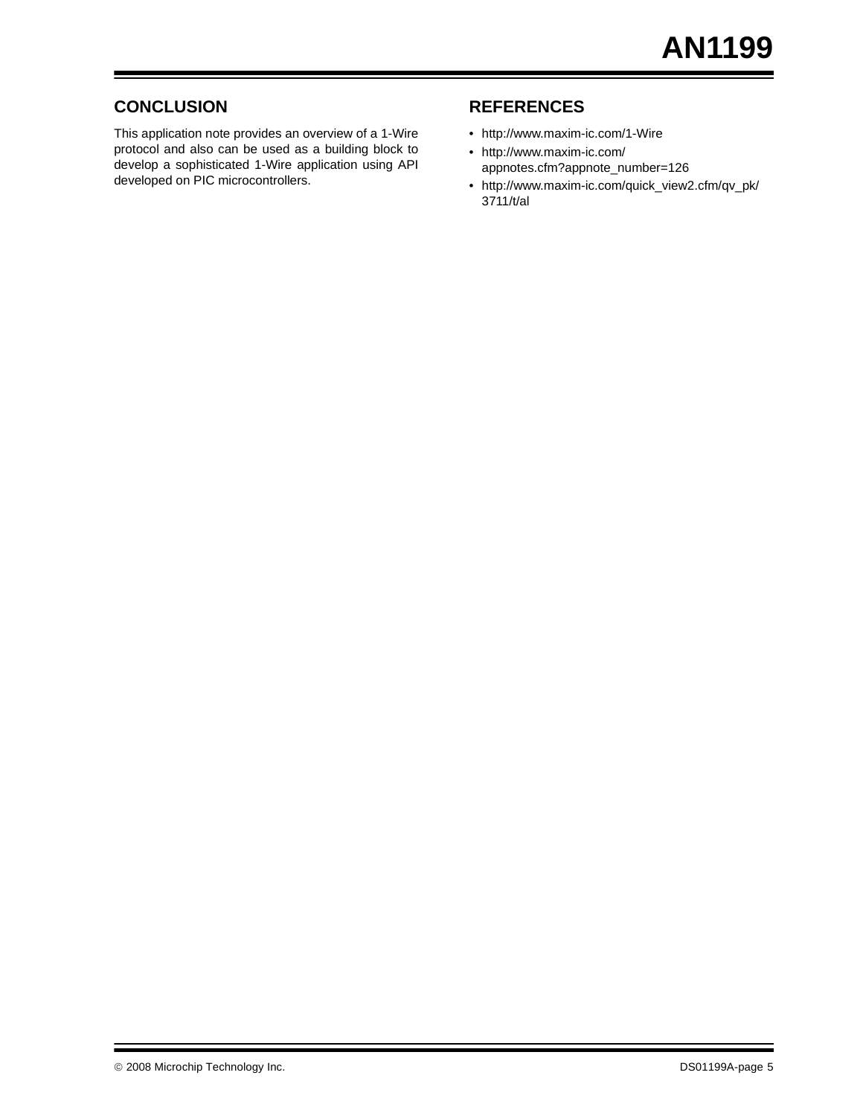#### **CONCLUSION**

This application note provides an overview of a 1-Wire protocol and also can be used as a building block to develop a sophisticated 1-Wire application using API developed on PIC microcontrollers.

#### **REFERENCES**

- <http://www.maxim-ic.com/1-Wire>
- http://www.maxim-ic.com/ [appnotes.cfm?appnote\\_number=126](http://www.maxim-ic.com/appnotes.cfm?appnote_number=126)
- [http://www.maxim-ic.com/quick\\_view2.cfm/qv\\_pk/](http://www.maxim-ic.com/quick_view2.cfm/qv_pk/3711/t/al) 3711/t/al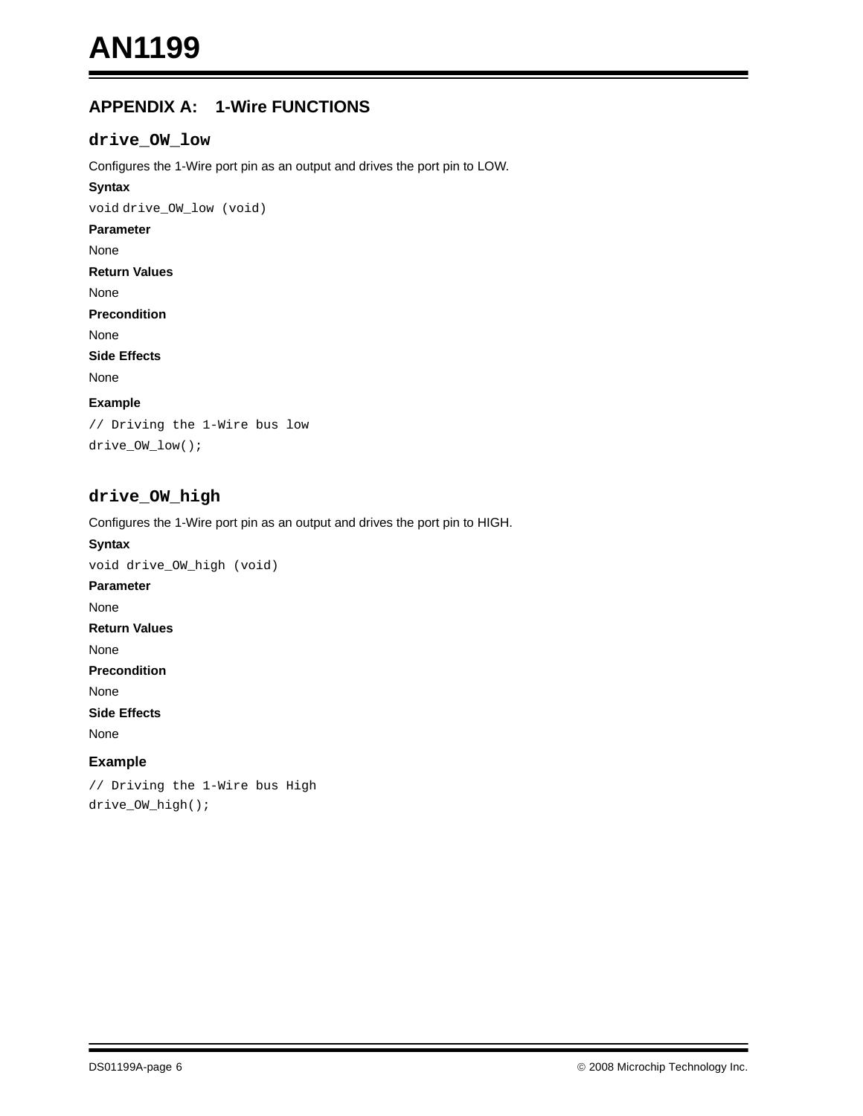#### **APPENDIX A: 1-Wire FUNCTIONS**

#### <span id="page-5-0"></span>**drive\_OW\_low**

Configures the 1-Wire port pin as an output and drives the port pin to LOW.

#### **Syntax**

void drive\_OW\_low (void)

**Parameter**

None

**Return Values**

None

**Precondition**

None

**Side Effects**

None

#### **Example**

// Driving the 1-Wire bus low drive\_OW\_low();

#### <span id="page-5-1"></span>**drive\_OW\_high**

Configures the 1-Wire port pin as an output and drives the port pin to HIGH.

**Syntax** void drive\_OW\_high (void)

**Parameter**

None

**Return Values**

None

**Precondition**

None

**Side Effects**

None

#### **Example**

// Driving the 1-Wire bus High drive\_OW\_high();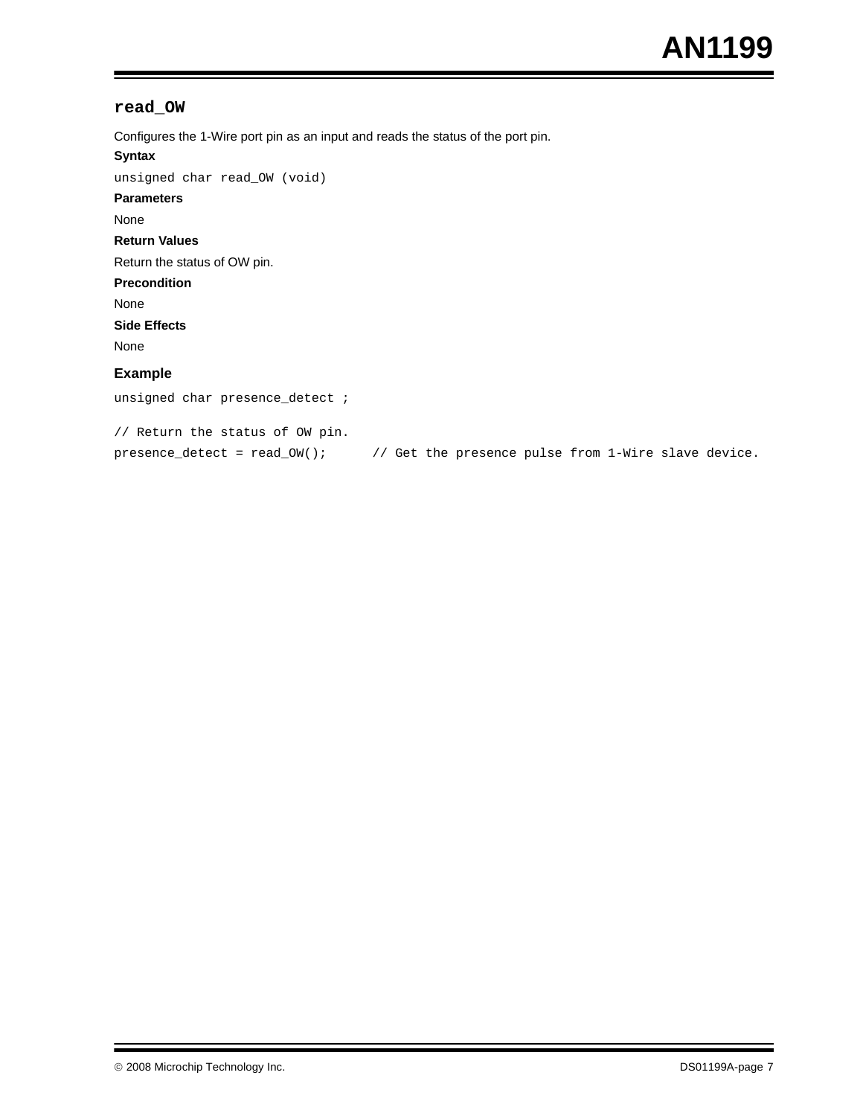<span id="page-6-0"></span>

| read_OW                                                                                |  |  |  |  |  |
|----------------------------------------------------------------------------------------|--|--|--|--|--|
| Configures the 1-Wire port pin as an input and reads the status of the port pin.       |  |  |  |  |  |
| <b>Syntax</b>                                                                          |  |  |  |  |  |
| unsigned char read_OW (void)                                                           |  |  |  |  |  |
| <b>Parameters</b>                                                                      |  |  |  |  |  |
| None                                                                                   |  |  |  |  |  |
| <b>Return Values</b>                                                                   |  |  |  |  |  |
| Return the status of OW pin.                                                           |  |  |  |  |  |
| <b>Precondition</b>                                                                    |  |  |  |  |  |
| None                                                                                   |  |  |  |  |  |
| <b>Side Effects</b>                                                                    |  |  |  |  |  |
| None                                                                                   |  |  |  |  |  |
| <b>Example</b>                                                                         |  |  |  |  |  |
| unsigned char presence_detect ;                                                        |  |  |  |  |  |
| // Return the status of OW pin.                                                        |  |  |  |  |  |
| // Get the presence pulse from 1-Wire slave device.<br>presence detect = read $OW()$ ; |  |  |  |  |  |

e<br>B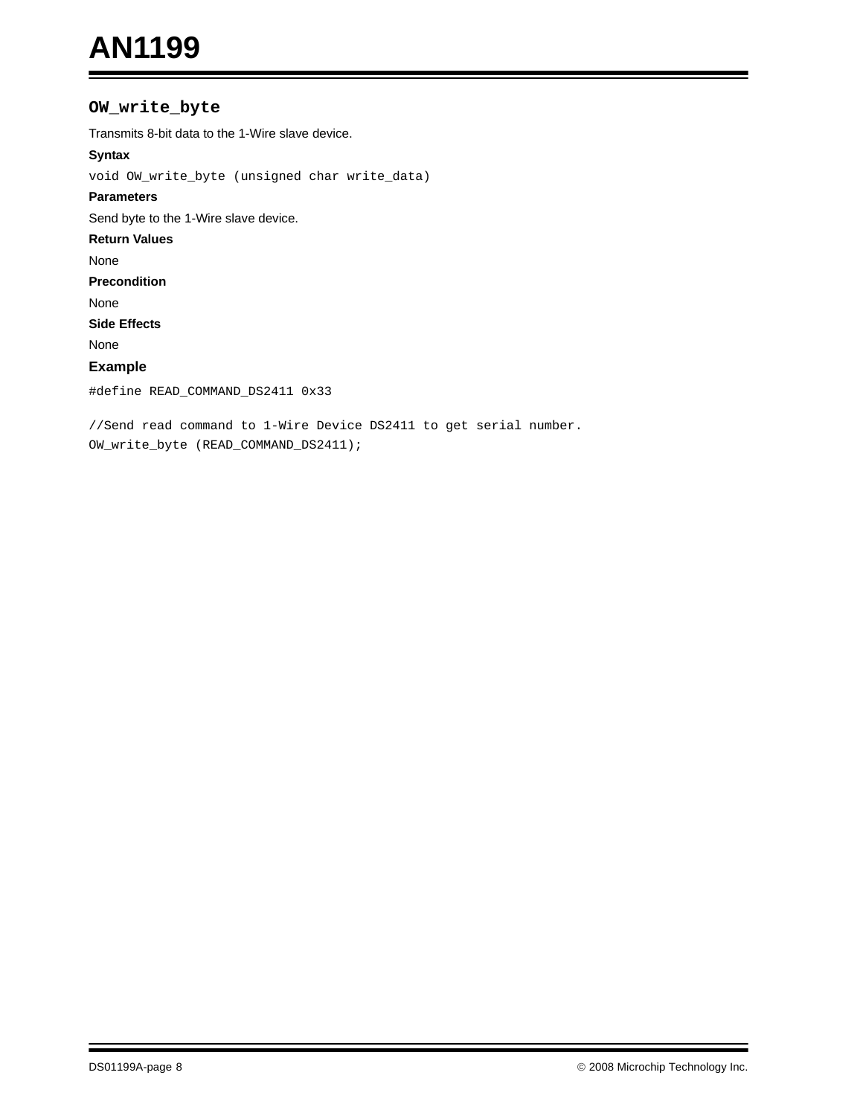#### <span id="page-7-0"></span>**OW\_write\_byte**

Transmits 8-bit data to the 1-Wire slave device.

#### **Syntax**

void OW\_write\_byte (unsigned char write\_data)

#### **Parameters**

Send byte to the 1-Wire slave device.

#### **Return Values**

None

**Precondition**

None

**Side Effects**

None

#### **Example**

#define READ\_COMMAND\_DS2411 0x33

//Send read command to 1-Wire Device DS2411 to get serial number. OW\_write\_byte (READ\_COMMAND\_DS2411);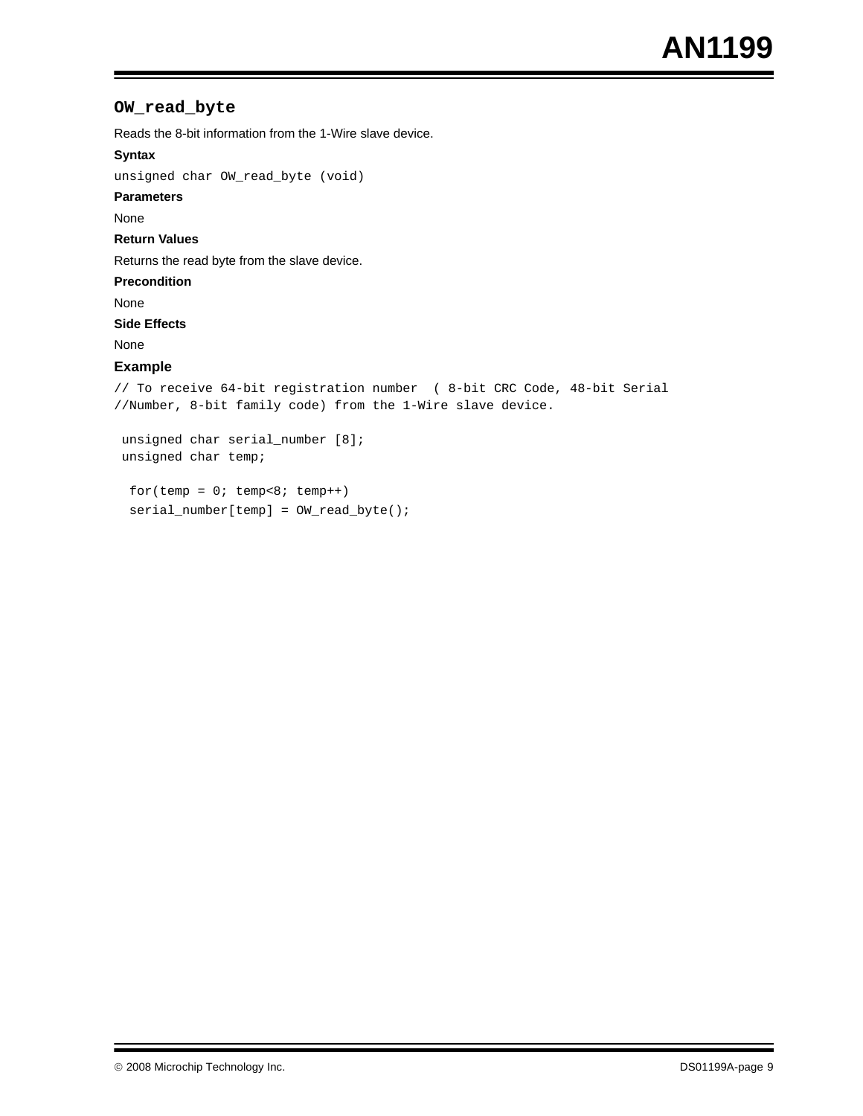#### <span id="page-8-0"></span>**OW\_read\_byte**

Reads the 8-bit information from the 1-Wire slave device.

#### **Syntax**

unsigned char OW\_read\_byte (void)

#### **Parameters**

None

#### **Return Values**

Returns the read byte from the slave device.

#### **Precondition**

None

**Side Effects**

#### None

#### **Example**

```
// To receive 64-bit registration number ( 8-bit CRC Code, 48-bit Serial 
//Number, 8-bit family code) from the 1-Wire slave device.
```
 unsigned char serial\_number [8]; unsigned char temp;

for(temp =  $0$ ; temp<8; temp++) serial\_number[temp] = OW\_read\_byte();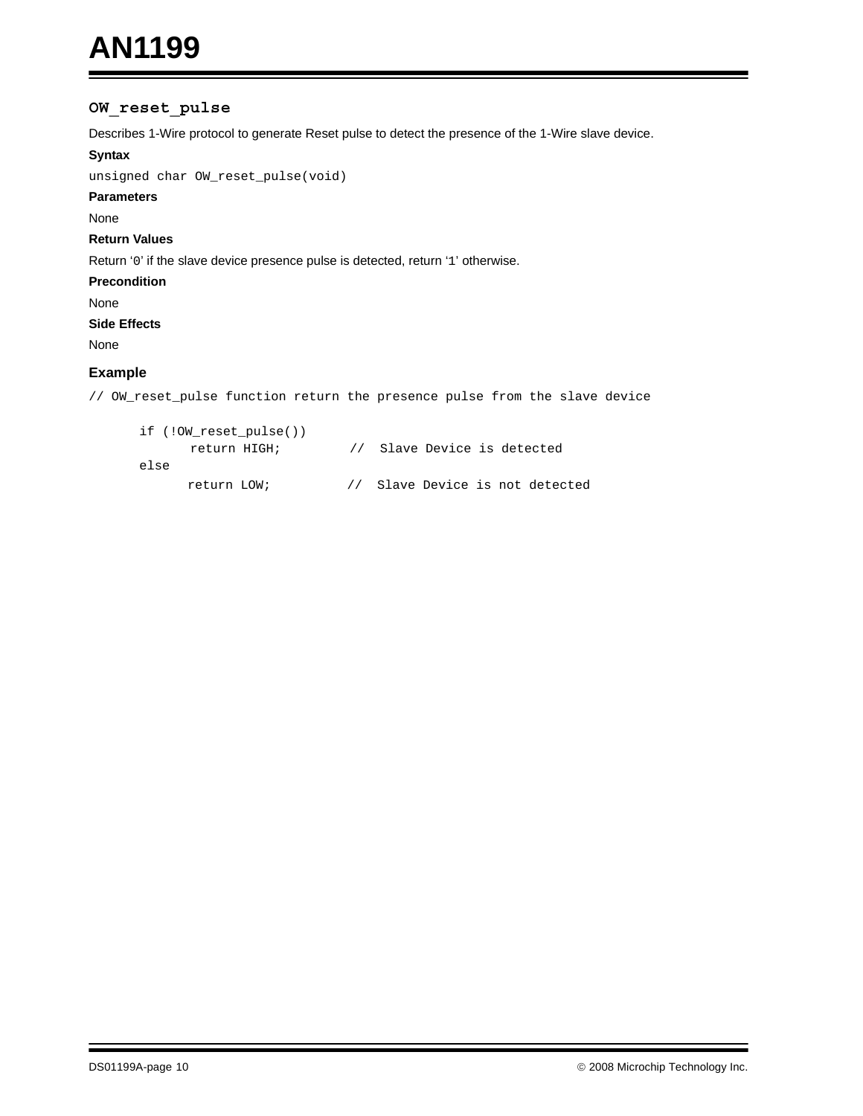#### <span id="page-9-0"></span>**OW\_reset\_pulse**

Describes 1-Wire protocol to generate Reset pulse to detect the presence of the 1-Wire slave device.

#### **Syntax**

unsigned char OW\_reset\_pulse(void)

#### **Parameters**

None

#### **Return Values**

Return '0' if the slave device presence pulse is detected, return '1' otherwise.

#### **Precondition**

None

#### **Side Effects**

None

#### **Example**

// OW\_reset\_pulse function return the presence pulse from the slave device

| if $(10W$ reset pulse $()$ |                                 |
|----------------------------|---------------------------------|
| return HIGH;               | // Slave Device is detected     |
| else                       |                                 |
| return LOW;                | // Slave Device is not detected |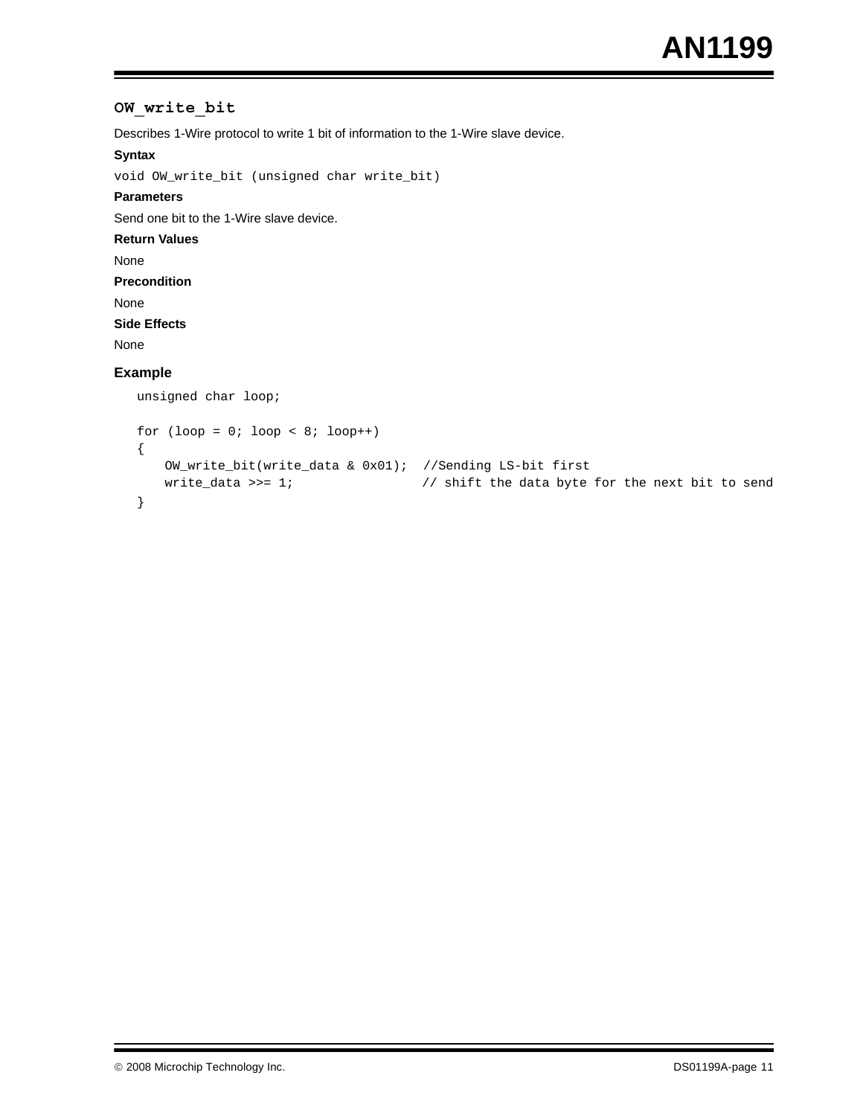#### <span id="page-10-0"></span>**OW\_write\_bit**

Describes 1-Wire protocol to write 1 bit of information to the 1-Wire slave device.

#### **Syntax**

void OW\_write\_bit (unsigned char write\_bit)

#### **Parameters**

Send one bit to the 1-Wire slave device.

#### **Return Values**

None

#### **Precondition**

None

#### **Side Effects**

None

#### **Example**

```
 unsigned char loop;
for (loop = 0; loop < 8; loop++) {
   OW_write_bit(write_data & 0x01); //Sending LS-bit first
   write_data >>= 1; \qquad // shift the data byte for the next bit to send
 }
```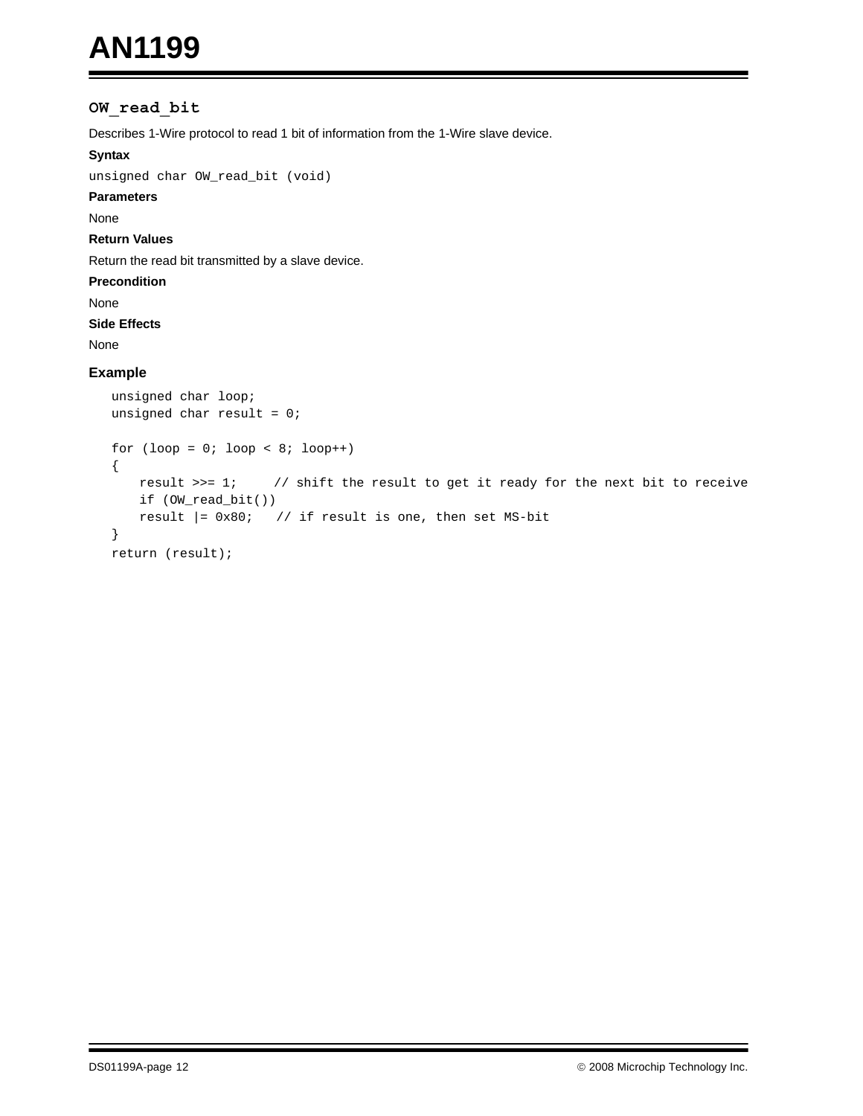#### <span id="page-11-0"></span>**OW\_read\_bit**

Describes 1-Wire protocol to read 1 bit of information from the 1-Wire slave device.

#### **Syntax**

unsigned char OW\_read\_bit (void)

#### **Parameters**

None

#### **Return Values**

Return the read bit transmitted by a slave device.

#### **Precondition**

None

#### **Side Effects**

None

#### **Example**

```
 unsigned char loop;
 unsigned char result = 0;
```

```
for loop = 0; loop < 8; loop + +)
 {
   result >>= 1; // shift the result to get it ready for the next bit to receive
   if (OW_read_bit())
   result | = 0x80; // if result is one, then set MS-bit
 }
 return (result);
```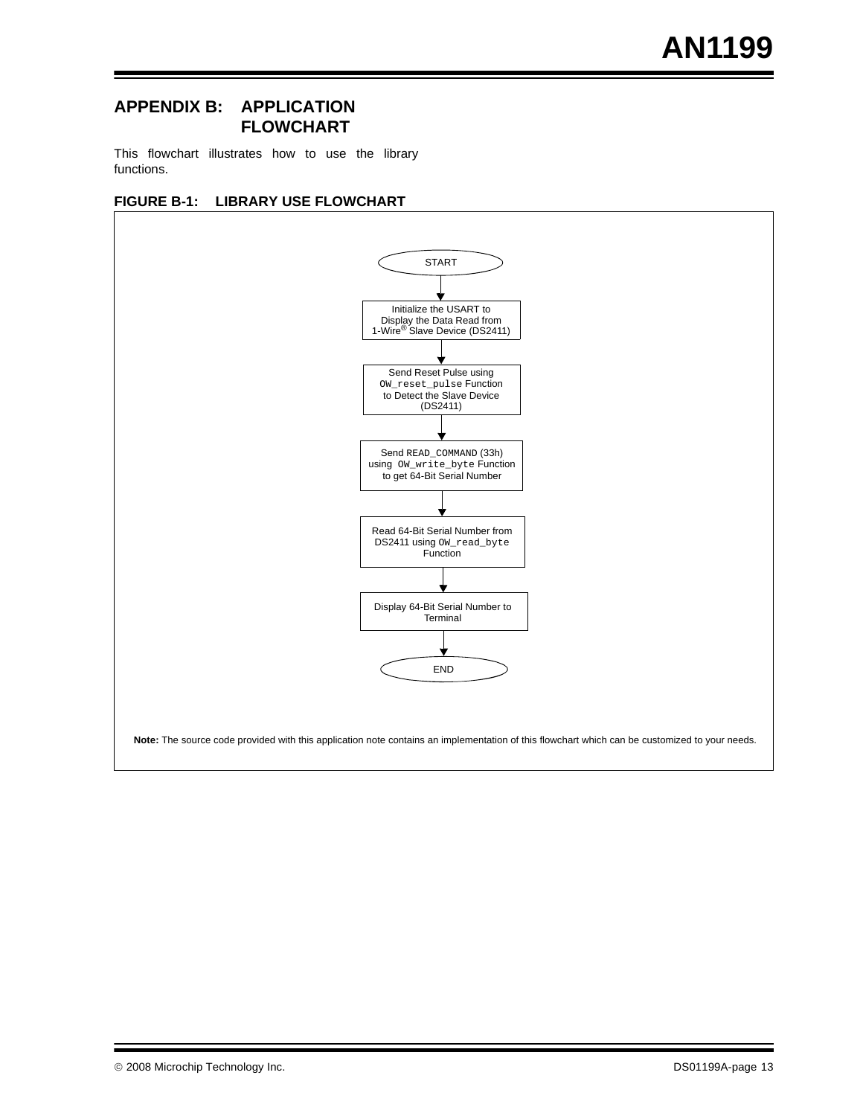#### **APPENDIX B: APPLICATION FLOWCHART**

This flowchart illustrates how to use the library functions.

#### **FIGURE B-1: LIBRARY USE FLOWCHART**

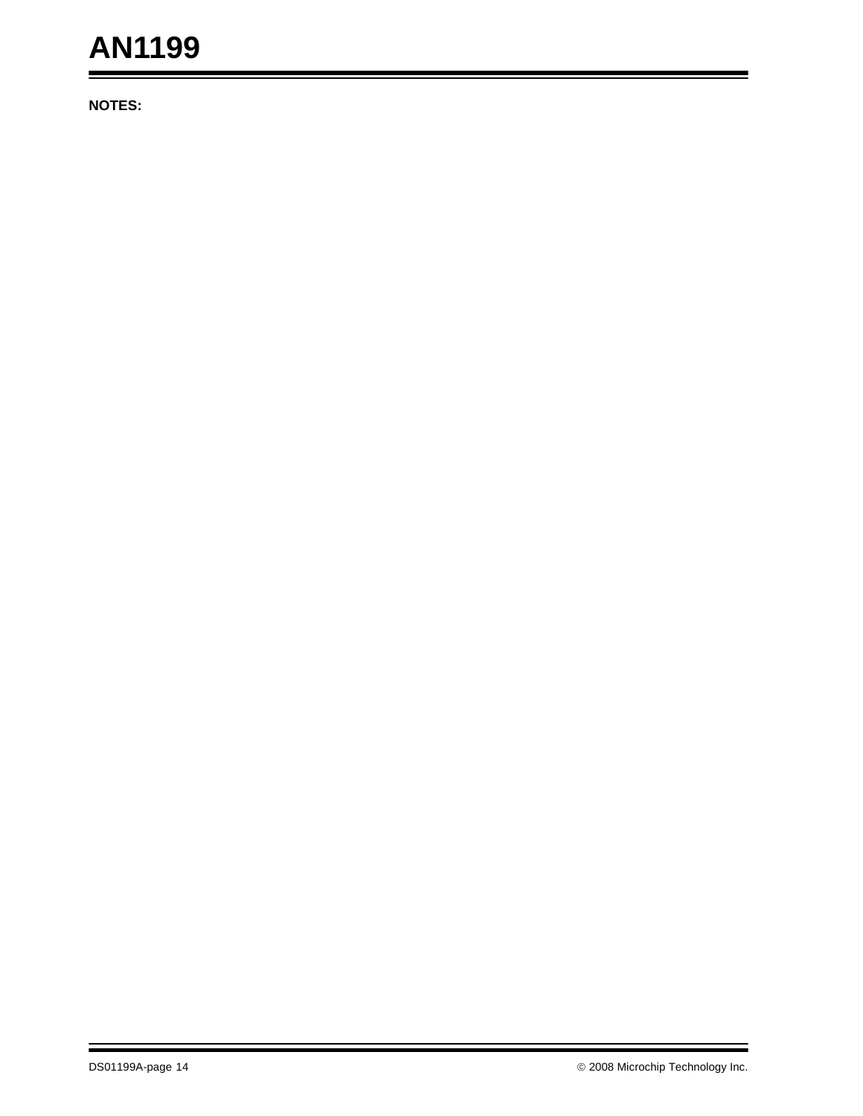**NOTES:**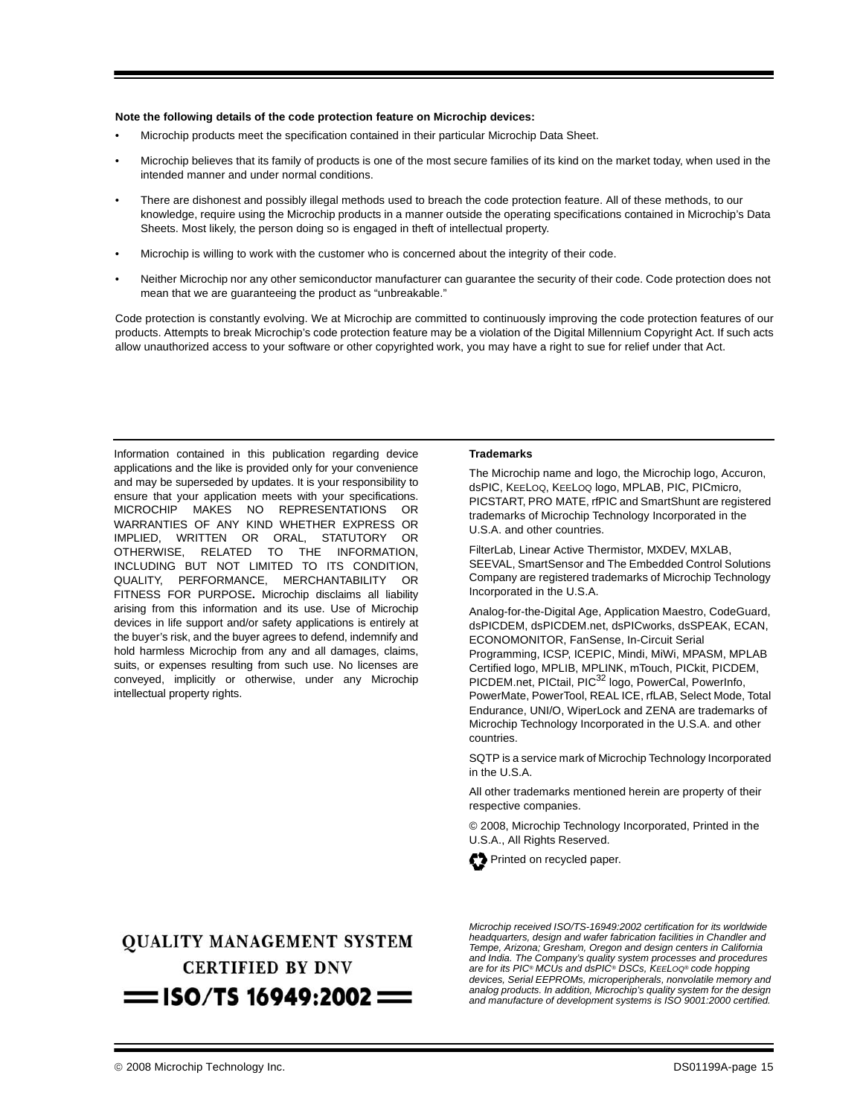#### **Note the following details of the code protection feature on Microchip devices:**

- Microchip products meet the specification contained in their particular Microchip Data Sheet.
- Microchip believes that its family of products is one of the most secure families of its kind on the market today, when used in the intended manner and under normal conditions.
- There are dishonest and possibly illegal methods used to breach the code protection feature. All of these methods, to our knowledge, require using the Microchip products in a manner outside the operating specifications contained in Microchip's Data Sheets. Most likely, the person doing so is engaged in theft of intellectual property.
- Microchip is willing to work with the customer who is concerned about the integrity of their code.
- Neither Microchip nor any other semiconductor manufacturer can guarantee the security of their code. Code protection does not mean that we are guaranteeing the product as "unbreakable."

Code protection is constantly evolving. We at Microchip are committed to continuously improving the code protection features of our products. Attempts to break Microchip's code protection feature may be a violation of the Digital Millennium Copyright Act. If such acts allow unauthorized access to your software or other copyrighted work, you may have a right to sue for relief under that Act.

Information contained in this publication regarding device applications and the like is provided only for your convenience and may be superseded by updates. It is your responsibility to ensure that your application meets with your specifications. MICROCHIP MAKES NO REPRESENTATIONS OR WARRANTIES OF ANY KIND WHETHER EXPRESS OR IMPLIED, WRITTEN OR ORAL, STATUTORY OR OTHERWISE, RELATED TO THE INFORMATION, INCLUDING BUT NOT LIMITED TO ITS CONDITION, QUALITY, PERFORMANCE, MERCHANTABILITY OR FITNESS FOR PURPOSE**.** Microchip disclaims all liability arising from this information and its use. Use of Microchip devices in life support and/or safety applications is entirely at the buyer's risk, and the buyer agrees to defend, indemnify and hold harmless Microchip from any and all damages, claims, suits, or expenses resulting from such use. No licenses are conveyed, implicitly or otherwise, under any Microchip intellectual property rights.

#### **Trademarks**

The Microchip name and logo, the Microchip logo, Accuron, dsPIC, KEELOQ, KEELOQ logo, MPLAB, PIC, PICmicro, PICSTART, PRO MATE, rfPIC and SmartShunt are registered trademarks of Microchip Technology Incorporated in the U.S.A. and other countries.

FilterLab, Linear Active Thermistor, MXDEV, MXLAB, SEEVAL, SmartSensor and The Embedded Control Solutions Company are registered trademarks of Microchip Technology Incorporated in the U.S.A.

Analog-for-the-Digital Age, Application Maestro, CodeGuard, dsPICDEM, dsPICDEM.net, dsPICworks, dsSPEAK, ECAN, ECONOMONITOR, FanSense, In-Circuit Serial Programming, ICSP, ICEPIC, Mindi, MiWi, MPASM, MPLAB Certified logo, MPLIB, MPLINK, mTouch, PICkit, PICDEM, PICDEM.net, PICtail, PIC<sup>32</sup> logo, PowerCal, PowerInfo, PowerMate, PowerTool, REAL ICE, rfLAB, Select Mode, Total Endurance, UNI/O, WiperLock and ZENA are trademarks of Microchip Technology Incorporated in the U.S.A. and other countries.

SQTP is a service mark of Microchip Technology Incorporated in the U.S.A.

All other trademarks mentioned herein are property of their respective companies.

© 2008, Microchip Technology Incorporated, Printed in the U.S.A., All Rights Reserved.



### **QUALITY MANAGEMENT SYSTEM CERTIFIED BY DNV**  $=$  ISO/TS 16949:2002  $=$

*Microchip received ISO/TS-16949:2002 certification for its worldwide headquarters, design and wafer fabrication facilities in Chandler and Tempe, Arizona; Gresham, Oregon and design centers in California and India. The Company's quality system processes and procedures are for its PIC® MCUs and dsPIC® DSCs, KEELOQ® code hopping devices, Serial EEPROMs, microperipherals, nonvolatile memory and analog products. In addition, Microchip's quality system for the design and manufacture of development systems is ISO 9001:2000 certified.*